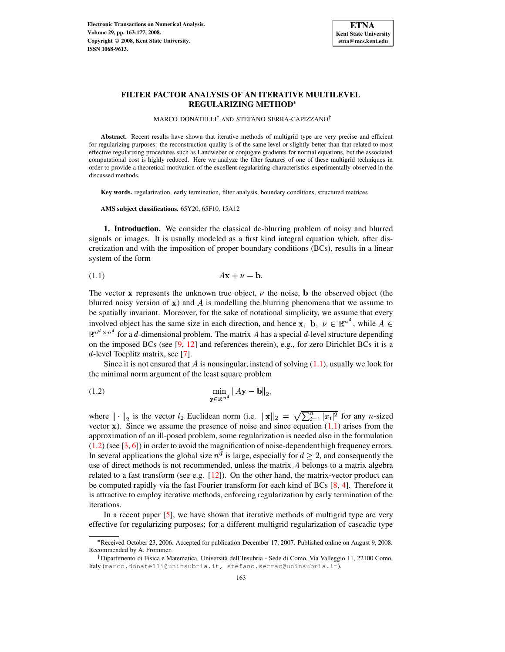

## **FILTER FACTOR ANALYSIS OF AN ITERATIVE MULTILEVEL REGULARIZING METHOD**

MARCO DONATELLI<sup>†</sup> AND STEFANO SERRA-CAPIZZANO<sup>†</sup>

Abstract. Recent results have shown that iterative methods of multigrid type are very precise and efficient for regularizing purposes: the reconstruction quality is of the same level or slightly better than that related to most effective regularizing procedures such as Landweber or conjugate gradients for normal equations, but the associated computational cost is highly reduced. Here we analyze the filter features of one of these multigrid techniques in order to provide a theoretical motivation of the excellent regularizing characteristics experimentally observed in the discussed methods.

**Key words.** regularization, early termination, filter analysis, boundary conditions, structured matrices

**AMS subject classifications.** 65Y20, 65F10, 15A12

**1. Introduction.** We consider the classical de-blurring problem of noisy and blurred signals or images. It is usually modeled as a first kind integral equation which, after discretization and with the imposition of proper boundary conditions (BCs), results in a linear system of the form

<span id="page-0-0"></span>
$$
A\mathbf{x} + \nu = \mathbf{b}.
$$

The vector **x** represents the unknown true object,  $\nu$  the noise, **b** the observed object (the blurred noisy version of  $x$ ) and A is modelling the blurring phenomena that we assume to be spatially invariant. Moreover, for the sake of notational simplicity, we assume that every involved object has the same size in each direction, and hence  ${\bf x}, {\bf b}, \nu \in \mathbb{R}^{n^{\alpha}}$ , while  $A \in$  $\mathbb{R}^{n^{\alpha} \times n^{\alpha}}$  for a d-dimensional problem. The matrix A has a special d-level structure depending on the imposed BCs (see [\[9,](#page-13-0) [12\]](#page-13-1) and references therein), e.g., for zero Dirichlet BCs it is a  $d$ -level Toeplitz matrix, see [\[7\]](#page-13-2).

<span id="page-0-1"></span>Since it is not ensured that A is nonsingular, instead of solving  $(1.1)$ , usually we look for the minimal norm argument of the least square problem

(1.2) 
$$
\min_{\mathbf{y} \in \mathbb{R}^{n^d}} \|A\mathbf{y} - \mathbf{b}\|_2,
$$

where  $\|\cdot\|_2$  is the vector  $l_2$  Euclidean norm (i.e.  $\|\mathbf{x}\|_2 = \sqrt{\sum_{i=1}^n |x_i|^2}$  for any *n*-sized vector  $x$ ). Since we assume the presence of noise and since equation  $(1.1)$  arises from the approximation of an ill-posed problem, some regularization is needed also in the formulation [\(1.2\)](#page-0-1) (see [\[3,](#page-13-3) [6\]](#page-13-4)) in order to avoid the magnification of noise-dependent high frequency errors. In several applications the global size  $n^d$  is large, especially for  $d \geq 2$ , and consequently the use of direct methods is not recommended, unless the matrix  $A$  belongs to a matrix algebra related to a fast transform (see e.g.  $[12]$ ). On the other hand, the matrix-vector product can be computed rapidly via the fast Fourier transform for each kind of BCs [\[8,](#page-13-5) [4\]](#page-13-6). Therefore it is attractive to employ iterative methods, enforcing regularization by early termination of the iterations.

In a recent paper [\[5\]](#page-13-7), we have shown that iterative methods of multigrid type are very effective for regularizing purposes; for a different multigrid regularization of cascadic type

G Received October 23, 2006. Accepted for publication December 17, 2007. Published online on August 9, 2008. Recommended by A. Frommer.

<sup>&</sup>lt;sup>†</sup> Dipartimento di Fisica e Matematica, Università dell'Insubria - Sede di Como, Via Valleggio 11, 22100 Como, Italy (marco.donatelli@uninsubria.it, stefano.serrac@uninsubria.it).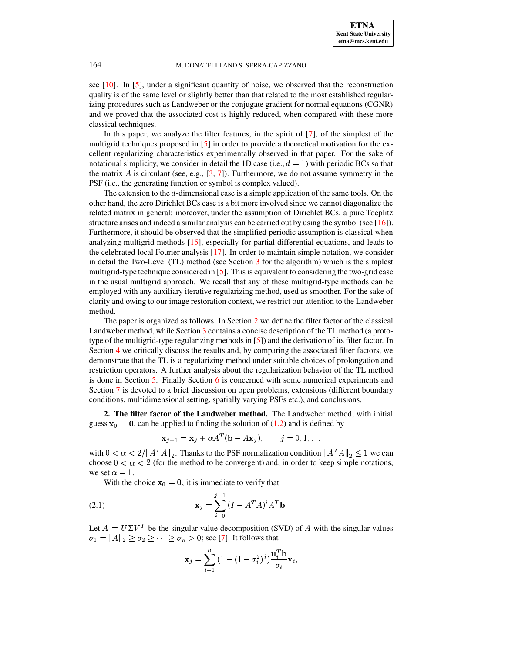see [\[10\]](#page-13-8). In [\[5\]](#page-13-7), under a significant quantity of noise, we observed that the reconstruction quality is of the same level or slightly better than that related to the most established regularizing procedures such as Landweber or the conjugate gradient for normal equations (CGNR) and we proved that the associated cost is highly reduced, when compared with these more classical techniques.

In this paper, we analyze the filter features, in the spirit of [\[7\]](#page-13-2), of the simplest of the multigrid techniques proposed in [\[5\]](#page-13-7) in order to provide a theoretical motivation for the excellent regularizing characteristics experimentally observed in that paper. For the sake of notational simplicity, we consider in detail the 1D case (i.e.,  $d = 1$ ) with periodic BCs so that the matrix A is circulant (see, e.g.,  $[3, 7]$  $[3, 7]$  $[3, 7]$ ). Furthermore, we do not assume symmetry in the PSF (i.e., the generating function or symbol is complex valued).

The extension to the  $d$ -dimensional case is a simple application of the same tools. On the other hand, the zero Dirichlet BCs case is a bit more involved since we cannot diagonalize the related matrix in general: moreover, under the assumption of Dirichlet BCs, a pure Toeplitz structure arises and indeed a similar analysis can be carried out by using the symbol (see [\[16\]](#page-14-0)). Furthermore, it should be observed that the simplified periodic assumption is classical when analyzing multigrid methods [\[15\]](#page-13-9), especially for partial differential equations, and leads to the celebrated local Fourier analysis [\[17\]](#page-14-1). In order to maintain simple notation, we consider in detail the Two-Level (TL) method (see Section [3](#page-2-0) for the algorithm) which is the simplest multigrid-type technique considered in [\[5\]](#page-13-7). This is equivalent to considering the two-grid case in the usual multigrid approach. We recall that any of these multigrid-type methods can be employed with any auxiliary iterative regularizing method, used as smoother. For the sake of clarity and owing to our image restoration context, we restrict our attention to the Landweber method.

The paper is organized as follows. In Section [2](#page-1-0) we define the filter factor of the classical Landweber method, while Section [3](#page-2-0) contains a concise description of the TL method (a prototype of the multigrid-type regularizing methods in [\[5\]](#page-13-7)) and the derivation of its filter factor. In Section [4](#page-6-0) we critically discuss the results and, by comparing the associated filter factors, we demonstrate that the TL is a regularizing method under suitable choices of prolongation and restriction operators. A further analysis about the regularization behavior of the TL method is done in Section [5.](#page-7-0) Finally Section [6](#page-9-0) is concerned with some numerical experiments and Section [7](#page-12-0) is devoted to a brief discussion on open problems, extensions (different boundary conditions, multidimensional setting, spatially varying PSFs etc.), and conclusions.

<span id="page-1-0"></span>**2. The filter factor of the Landweber method.** The Landweber method, with initial guess  $x_0 = 0$ , can be applied to finding the solution of [\(1.2\)](#page-0-1) and is defined by

<span id="page-1-1"></span>
$$
\mathbf{x}_{j+1} = \mathbf{x}_j + \alpha A^T (\mathbf{b} - A\mathbf{x}_j), \qquad j = 0, 1, \dots
$$

with  $0 < \alpha < 2/||A^T A||_2$ . Thanks to the PSF normalization condition  $||A^T A||_2 \le 1$  we can choose  $0 < \alpha < 2$  (for the method to be convergent) and, in order to keep simple notations, we set  $\alpha = 1$ .

With the choice  $x_0 = 0$ , it is immediate to verify that

(2.1) 
$$
\mathbf{x}_{j} = \sum_{i=0}^{j-1} (I - A^{T}A)^{i} A^{T} \mathbf{b}.
$$

Let  $A = U \Sigma V^T$  be the singular value decomposition (SVD) of A with the singular values  $\sigma_1 = ||A||_2 > \sigma_2 > \cdots > \sigma$  $\geq \cdots \geq \sigma_n > 0$ ; see [\[7\]](#page-13-2). It follows that

$$
\mathbf{x}_j = \sum_{i=1}^n \left(1 - (1 - \sigma_i^2)^j\right) \frac{\mathbf{u}_i^T \mathbf{b}}{\sigma_i} \mathbf{v}_i,
$$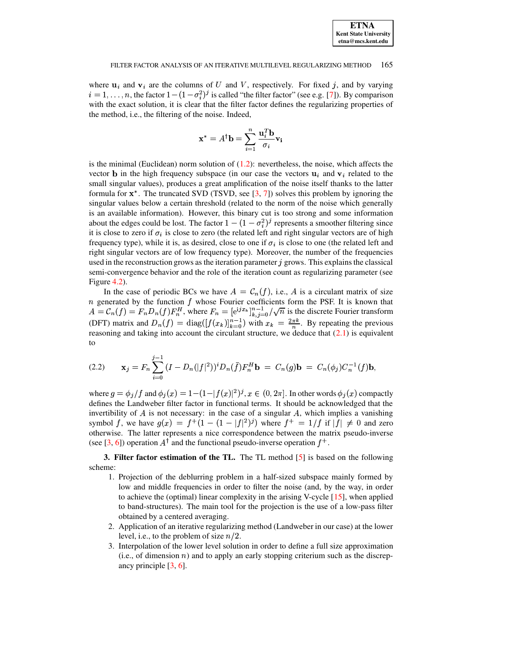

where  ${\bf u}_i$  and  ${\bf v}_i$  are the columns of U and V, respectively. For fixed j, and by varying  $i = 1, \ldots, n$ , the factor  $1 - (1 - \sigma_i^2)^j$  is called "the filter factor" (see e.g. [\[7\]](#page-13-2)). By comparison with the exact solution, it is clear that the filter factor defines the regularizing properties of the method, i.e., the filtering of the noise. Indeed,

$$
\mathbf{x}^* = A^{\dagger} \mathbf{b} = \sum_{i=1}^n \frac{\mathbf{u}_i^T \mathbf{b}}{\sigma_i} \mathbf{v_i}
$$

is the minimal (Euclidean) norm solution of  $(1.2)$ : nevertheless, the noise, which affects the vector **b** in the high frequency subspace (in our case the vectors  ${\bf u}_i$  and  ${\bf v}_i$  related to the small singular values), produces a great amplification of the noise itself thanks to the latter formula for  $x^*$ . The truncated SVD (TSVD, see  $[3, 7]$  $[3, 7]$  $[3, 7]$ ) solves this problem by ignoring the singular values below a certain threshold (related to the norm of the noise which generally is an available information). However, this binary cut is too strong and some information 0 about the edges could be lost. The factor  $1 - (1 - \sigma_i^2)^j$  represents a smoother filtering since it is close to zero if  $\sigma_i$  is close to zero (the related left and right singular vectors are of high frequency type), while it is, as desired, close to one if  $\sigma_i$  is close to one (the related left and right singular vectors are of low frequency type). Moreover, the number of the frequencies used in the reconstruction grows as the iteration parameter  $j$  grows. This explains the classical semi-convergence behavior and the role of the iteration count as regularizing parameter (see Figure [4.2\)](#page-7-1).

In the case of periodic BCs we have  $A = \mathcal{C}_n(f)$ , i.e., A is a circulant matrix of size *n* generated by the function  $f$  whose Fourier coefficients form the PSF. It is known that *n* generated by the function *f* whose Fourier coefficients form the PSF. It is known that  $A = C_n(f) = F_n D_n(f) F_n^H$ , where  $F_n = [e^{ijx_k}]_{k,j=0}^{n-1}/\sqrt{n}$  is the discrete Fourier transform (DFT) matrix and  $D_n(f) = \text{diag}([f(x_k)]_{k=0}^{n-1})$  with  $x_k = \frac{2\pi k}{n}$ . By repeating the previous reasoning and taking into account the circulant structure, we deduce that [\(2.1\)](#page-1-1) is equivalent to

<span id="page-2-1"></span>(2.2) 
$$
\mathbf{x}_{j} = F_{n} \sum_{i=0}^{j-1} (I - D_{n}(|f|^{2}))^{i} D_{n}(\bar{f}) F_{n}^{H} \mathbf{b} = C_{n}(g) \mathbf{b} = C_{n}(\phi_{j}) C_{n}^{-1}(f) \mathbf{b},
$$

where  $g = \phi_i / f$  and  $\phi_i(x) = 1 - (1 - |f(x)|^2)^j$ ,  $x \in (0, 2\pi]$ . In other words  $\phi_i(x)$  compactly defines the Landweber filter factor in functional terms. It should be acknowledged that the invertibility of  $A$  is not necessary: in the case of a singular  $A$ , which implies a vanishing symbol f, we have  $g(x) = f^+(1 - (1 - |f|^2))^j$  where  $f^+ = 1/f$  if  $|f| \neq 0$  and zero otherwise. The latter represents a nice correspondence between the matrix pseudo-inverse (see [\[3,](#page-13-3) [6\]](#page-13-4)) operation  $A^{\dagger}$  and the functional pseudo-inverse operation  $f^+$ .

<span id="page-2-0"></span>**3. Filter factor estimation of the TL.** The TL method [\[5\]](#page-13-7) is based on the following scheme:

- 1. Projection of the deblurring problem in a half-sized subspace mainly formed by low and middle frequencies in order to filter the noise (and, by the way, in order to achieve the (optimal) linear complexity in the arising V-cycle [\[15\]](#page-13-9), when applied to band-structures). The main tool for the projection is the use of a low-pass filter obtained by a centered averaging.
- 2. Application of an iterative regularizing method (Landweber in our case) at the lower level, i.e., to the problem of size  $n/2$ .
- 3. Interpolation of the lower level solution in order to define a full size approximation  $(i.e., of dimension *n*)$  and to apply an early stopping criterium such as the discrepancy principle [\[3,](#page-13-3) [6\]](#page-13-4).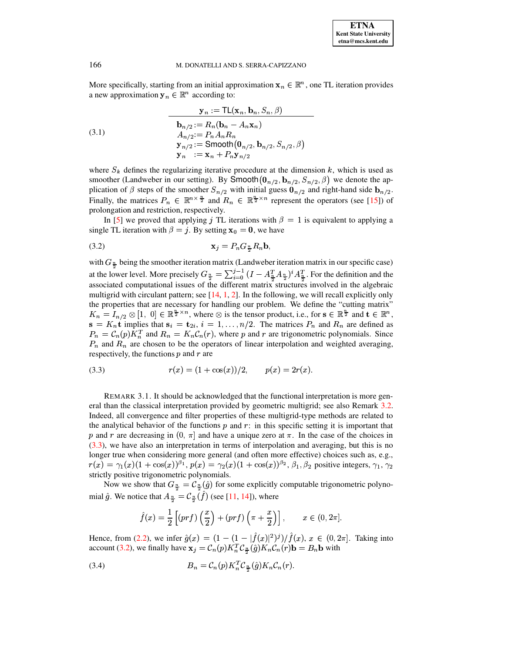More specifically, starting from an initial approximation  $\mathbf{x}_n \in \mathbb{R}^n$ , one TL iteration provides a new approximation  $y_n \in \mathbb{R}^n$  according to:

 $\mathbb{R}^n$  . The set of  $\mathbb{R}^n$ 

<span id="page-3-4"></span><span id="page-3-1"></span>,

(3.1)  
\n
$$
\mathbf{y}_n := \text{TL}(\mathbf{x}_n, \mathbf{b}_n, S_n, \beta)
$$
\n
$$
\mathbf{b}_{n/2} := R_n(\mathbf{b}_n - A_n \mathbf{x}_n)
$$
\n
$$
A_{n/2} := P_n A_n R_n
$$
\n
$$
\mathbf{y}_{n/2} := \text{Smooth}(\mathbf{0}_{n/2}, \mathbf{b}_{n/2}, S_{n/2}, \beta)
$$
\n
$$
\mathbf{y}_n := \mathbf{x}_n + P_n \mathbf{y}_{n/2}
$$

where  $S_k$  defines the regularizing iterative procedure at the dimension k, which is used as smoother (Landweber in our setting). By Smooth $(\mathbf{0}_{n/2}, \mathbf{b}_{n/2}, S_{n/2}, \beta)$  we denote the application of  $\beta$  steps of the smoother  $S_{n/2}$  with initial guess  $\mathbf{0}_{n/2}$  and right-hand side  $\mathbf{b}_{n/2}$ . Finally, the matrices  $P_n \in \mathbb{R}^{n \times \frac{n}{2}}$  and  $R_n \in \mathbb{R}^{\frac{n}{2} \times n}$  represent the operators (see [\[15\]](#page-13-9)) of prolongation and restriction, respectively.

In [\[5\]](#page-13-7) we proved that applying j TL iterations with  $\beta = 1$  is equivalent to applying a single TL iteration with  $\beta = j$ . By setting  $x_0 = 0$ , we have

$$
\mathbf{x}_j = P_n G_{\frac{n}{2}} R_n \mathbf{b},
$$

with  $G_{\frac{\alpha}{2}}$  being the smoother iteration matrix (Landweber iteration matrix in our specific case) at the lower level. More precisely  $G_{\frac{n}{2}} = \sum_{i=0}^{j-1} (I - A_{\frac{T}{2}}^T A_{\frac{n}{2}})^i A_{\frac{T}{2}}^T$ . For the definition and the associated computational issues of the different matrix structures involved in the algebraic multigrid with circulant pattern; see  $[14, 1, 2]$  $[14, 1, 2]$  $[14, 1, 2]$  $[14, 1, 2]$  $[14, 1, 2]$ . In the following, we will recall explicitly only the properties that are necessary for handling our problem. We define the "cutting matrix"  $K_n = I_{n/2} \otimes [1, 0] \in \mathbb{R}^{\frac{n}{2} \times n}$ , where  $\otimes$  is the tensor product, i.e., for  $s \in \mathbb{R}^{\frac{n}{2}}$  and  $t \in \mathbb{R}^n$ ,  $\mathbf{s} = K_n \mathbf{t}$  implies that  $\mathbf{s}_i = \mathbf{t}_{2i}, i = 1, \ldots, n/2$ . The matrices  $P_n$  and  $R_n$  are defined as  $P_n = C_n(p) K_n^T$  and  $R_n = K_n C_n(r)$ , where p and r are trigonometric polynomials. Since  $P_n$  and  $R_n$  are chosen to be the operators of linear interpolation and weighted averaging, respectively, the functions  $p$  and  $r$  are

<span id="page-3-0"></span>(3.3) 
$$
r(x) = (1 + \cos(x))/2, \qquad p(x) = 2r(x).
$$

<span id="page-3-3"></span>REMARK 3.1. It should be acknowledged that the functional interpretation is more general than the classical interpretation provided by geometric multigrid; see also Remark [3.2.](#page-5-0) Indeed, all convergence and filter properties of these multigrid-type methods are related to the analytical behavior of the functions  $p$  and  $r$ : in this specific setting it is important that p and r are decreasing in  $(0, \pi]$  and have a unique zero at  $\pi$ . In the case of the choices in [\(3.3\)](#page-3-0), we have also an interpretation in terms of interpolation and averaging, but this is no longer true when considering more general (and often more effective) choices such as, e.g.,  $r(x) = \gamma_1(x)(1 + \cos(x))^{\beta_1}, p(x) = \gamma_2(x)(1 + \cos(x))^{\beta_2}, \beta_1, \beta_2$  positive integers,  $\gamma_1, \gamma_2$ strictly positive trigonometric polynomials.

Now we show that  $G_{\frac{n}{2}} = C_{\frac{n}{2}}(\hat{g})$  for some explicitly computable trigonometric polynomial  $\hat{g}$ . We notice that  $A_{\frac{n}{2}} = C_{\frac{n}{2}}(\hat{f})$  (see [\[11,](#page-13-13) [14\]](#page-13-10)), where

<span id="page-3-2"></span>
$$
\hat{f}(x) = \frac{1}{2} \left[ (prf) \left( \frac{x}{2} \right) + (prf) \left( \pi + \frac{x}{2} \right) \right], \qquad x \in (0, 2\pi].
$$

Hence, from [\(2.2\)](#page-2-1), we infer  $\hat{g}(x) = (1 - (1 - |\hat{f}(x)|^2)^j)/\hat{f}(x)$ , x  $\hat{f}(x), x \in (0, 2\pi]$ . Taking into account [\(3.2\)](#page-3-1), we finally have  $\mathbf{x}_j = \mathcal{C}_n(p) K_n^T \mathcal{C}_{\frac{\pi}{n}}(\hat{g}) K_n \mathcal{C}_n(r) \mathbf{b} = B_n \mathbf{b}$  with

$$
(3.4) \t\t B_n = \mathcal{C}_n(p) K_n^T \mathcal{C}_{\frac{n}{2}}(\hat{g}) K_n \mathcal{C}_n(r).
$$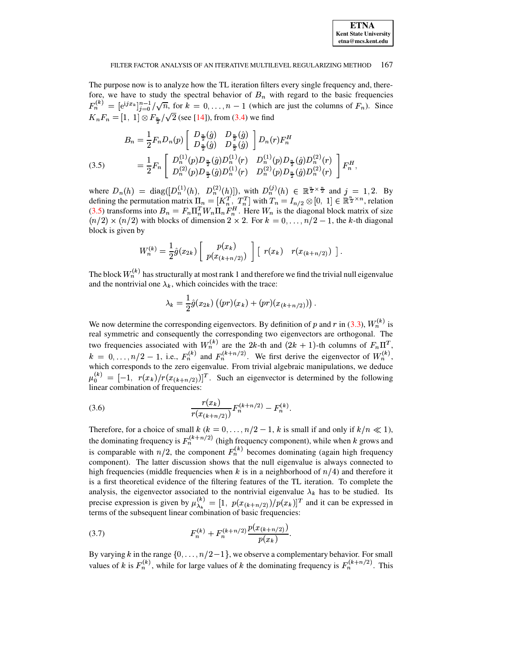

The purpose now is to analyze how the TL iteration filters every single frequency and, therefore, we have to study the spectral behavior of  $B_n$  with regard to the basic frequencies  $F_n^{(k)} = [e^{jx_k}]_{i=0}^{n-1}/\sqrt{n}$ , for  $k = 0, ..., n-1$  (which are just the columns of  $F_n$ ). Since  $K_n F_n = [1, 1] \otimes F_{\frac{n}{2}} / \sqrt{2}$  (see [\[14\]](#page-13-10)), from [\(3.4\)](#page-3-2) we find

<span id="page-4-0"></span>(3.5) 
$$
B_n = \frac{1}{2} F_n D_n(p) \begin{bmatrix} D_{\frac{n}{2}}(\hat{g}) & D_{\frac{n}{2}}(\hat{g}) \\ D_{\frac{n}{2}}(\hat{g}) & D_{\frac{n}{2}}(\hat{g}) \end{bmatrix} D_n(r) F_n^H
$$
  

$$
= \frac{1}{2} F_n \begin{bmatrix} D_n^{(1)}(p) D_{\frac{n}{2}}(\hat{g}) D_n^{(1)}(r) & D_n^{(1)}(p) D_{\frac{n}{2}}(\hat{g}) D_n^{(2)}(r) \\ D_n^{(2)}(p) D_{\frac{n}{2}}(\hat{g}) D_n^{(1)}(r) & D_n^{(2)}(p) D_{\frac{n}{2}}(\hat{g}) D_n^{(2)}(r) \end{bmatrix} F_n^H,
$$

where  $D_n(h) = \text{diag}([D_n^{(1)}(h), D_n^{(2)}(h)])$ , with  $D_n^{(j)}(h) \in \mathbb{R}^{\frac{n}{2} \times \frac{n}{2}}$  and  $j = 1, 2$ . By defining the permutation matrix  $\Pi_n = [K_n^T, T_n^T]$  with  $T_n =$ with  $T_n = I_{n/2} \otimes [0, 1] \in \mathbb{R}^{\frac{n}{2} \times n}$ , relation [\(3.5\)](#page-4-0) transforms into  $B_n = F_n \Pi_n^T W_n \Pi_n F_n^H$ . Here  $W_n$  is the diagonal block matrix of size  $(n/2) \times (n/2)$  with blocks of dimension  $2 \times 2$ . For  $k = 0, \ldots, n/2 - 1$ , the k-th diagonal block is given by

$$
W_n^{(k)} = \frac{1}{2}\hat{g}(x_{2k}) \left[ p(x_{(k+n/2)}) \right] \left[ r(x_k) \right] r(x_{(k+n/2)}) \right].
$$

The block  $W_n^{(k)}$  has structurally at most rank 1 and therefore we find the trivial null eigenvalue and the nontrivial one  $\lambda_k$ , which coincides with the trace:

$$
\lambda_k = \frac{1}{2}\hat{g}(x_{2k})((pr)(x_k) + (pr)(x_{(k+n/2)})) .
$$

We now determine the corresponding eigenvectors. By definition of p and r in [\(3.3\)](#page-3-0),  $W_n^{(k)}$  is real symmetric and consequently the corresponding two eigenvectors are orthogonal. The two frequencies associated with  $W_n^{(k)}$  are the 2k-th and  $(2k + 1)$ -th columns of  $F_n \Pi^T$ ,  $k = 0, \ldots, n/2 - 1$ , i.e.,  $F_n^{(k)}$  and  $F_n^{(k+n/2)}$ . We first derive the eigenvector of  $W_n^{(k)}$ , which corresponds to the zero eigenvalue. From trivial algebraic manipulations, we deduce  $\mu_0^{(k)} = [-1, r(x_k)/r(x_{(k+n/2)})]^T$ . Such an eigenvector is determined by the following linear combination of frequencies:

<span id="page-4-1"></span>(3.6) 
$$
\frac{r(x_k)}{r(x_{(k+n/2)})} F_n^{(k+n/2)} - F_n^{(k)}.
$$

Therefore, for a choice of small  $k$  ( $k = 0, \ldots, n/2 - 1$ ,  $k$  is small if and only if  $k/n \ll 1$ ), the dominating frequency is  $F_n^{(k+n/2)}$  (high frequency component), while when k grows and is comparable with  $n/2$ , the component  $F_n^{(k)}$  becomes dominating (again high frequency component). The latter discussion shows that the null eigenvalue is always connected to high frequencies (middle frequencies when  $k$  is in a neighborhood of  $n/4$ ) and therefore it is a first theoretical evidence of the filtering features of the TL iteration. To complete the analysis, the eigenvector associated to the nontrivial eigenvalue  $\lambda_k$  has to be studied. Its precise expression is given by  $\mu_{\lambda_k}^{(k)} = [1, p(x_{(k+n/2)})/p(x_k)]^T$  and it can be expressed in terms of the subsequent linear combination of basic frequencies:

<span id="page-4-2"></span>(3.7) 
$$
F_n^{(k)} + F_n^{(k+n/2)} \frac{p(x_{(k+n/2)})}{p(x_k)}.
$$

By varying k in the range  $\{0, \ldots, n/2-1\}$ , we observe a complementary behavior. For small values of k is  $F_n^{(k)}$ , while for large values of k the dominating frequency is  $F_n^{(k+n/2)}$ . This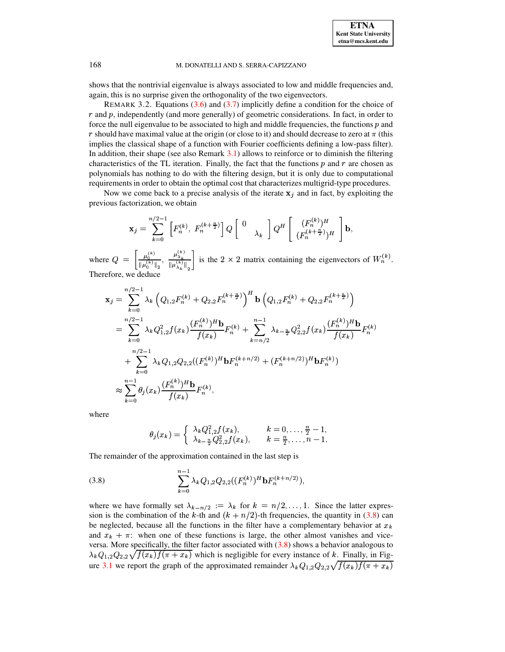

<span id="page-5-0"></span>shows that the nontrivial eigenvalue is always associated to low and middle frequencies and, again, this is no surprise given the orthogonality of the two eigenvectors.

REMARK 3.2. Equations [\(3.6\)](#page-4-1) and [\(3.7\)](#page-4-2) implicitly define a condition for the choice of  $r$  and  $p$ , independently (and more generally) of geometric considerations. In fact, in order to force the null eigenvalue to be associated to high and middle frequencies, the functions  $p$  and r should have maximal value at the origin (or close to it) and should decrease to zero at  $\pi$  (this implies the classical shape of a function with Fourier coefficients defining a low-pass filter). In addition, their shape (see also Remark  $3.1$ ) allows to reinforce or to diminish the filtering characteristics of the TL iteration. Finally, the fact that the functions  $p$  and  $r$  are chosen as polynomials has nothing to do with the filtering design, but it is only due to computational requirementsin order to obtain the optimal cost that characterizes multigrid-type procedures.

Now we come back to a precise analysis of the iterate  $x_j$  and in fact, by exploiting the previous factorization, we obtain

$$
\mathbf{x}_j=\sum_{k=0}^{n/2-1}\left[F_n^{(k)},\;F_n^{(k+\frac{n}{2})}\right]Q\left[\begin{array}{c}0\\&\lambda_k\end{array}\right]Q^H\left[\begin{array}{c}(F_n^{(k)})^H\\(F_n^{(k+\frac{n}{2})})^H\end{array}\right]\mathbf{b},
$$

where  $Q = \left| \frac{\mu_0}{\|\mu_0^{(k)}\|_2}, \right|$  $= \left[\frac{\mu_0^{(k)}}{\|\mu_0^{(k)}\|_2}, \frac{\mu_2^{(k)}}{\|\mu_0^{(k)}\|_2}\right]$  $\mu^{(k)}$  ]  $\frac{\mu_{\lambda_k}}{\|\mu_{\lambda_k}\|^{\kappa}}$  is the  $2 \times 2$  matrix containing the eigenvectors of  $W_n^{(k)}$ . Therefore, we deduce

$$
\mathbf{x}_{j} = \sum_{k=0}^{n/2-1} \lambda_{k} \left( Q_{1,2} F_{n}^{(k)} + Q_{2,2} F_{n}^{(k+\frac{n}{2})} \right)^{H} \mathbf{b} \left( Q_{1,2} F_{n}^{(k)} + Q_{2,2} F_{n}^{(k+\frac{n}{2})} \right)
$$
  
\n
$$
= \sum_{k=0}^{n/2-1} \lambda_{k} Q_{1,2}^{2} f(x_{k}) \frac{(F_{n}^{(k)})^{H} \mathbf{b}}{f(x_{k})} F_{n}^{(k)} + \sum_{k=n/2}^{n-1} \lambda_{k-\frac{n}{2}} Q_{2,2}^{2} f(x_{k}) \frac{(F_{n}^{(k)})^{H} \mathbf{b}}{f(x_{k})} F_{n}^{(k)}
$$
  
\n
$$
+ \sum_{k=0}^{n/2-1} \lambda_{k} Q_{1,2} Q_{2,2} ((F_{n}^{(k)})^{H} \mathbf{b} F_{n}^{(k+n/2)} + (F_{n}^{(k+n/2)})^{H} \mathbf{b} F_{n}^{(k)})
$$
  
\n
$$
\approx \sum_{k=0}^{n-1} \theta_{j}(x_{k}) \frac{(F_{n}^{(k)})^{H} \mathbf{b}}{f(x_{k})} F_{n}^{(k)},
$$

where

<span id="page-5-1"></span>
$$
\theta_j(x_k)=\left\{\begin{array}{ll}\lambda_kQ_{1,2}^2f(x_k),&k=0,\ldots,\frac{n}{2}-1,\\ \lambda_{k-\frac{n}{2}}Q_{2,2}^2f(x_k),&k=\frac{n}{2},\ldots,n-1.\end{array}\right.
$$

The remainder of the approximation contained in the last step is

(3.8) 
$$
\sum_{k=0}^{n-1} \lambda_k Q_{1,2} Q_{2,2}((F_n^{(k)})^H \mathbf{b} F_n^{(k+n/2)}),
$$

where we have formally set  $\lambda_{k-n/2} := \lambda_k$  for  $k = n/2, \ldots, 1$ . Since the latter expression is the combination of the k-th and  $(k + n/2)$ -th frequencies, the quantity in [\(3.8\)](#page-5-1) can be neglected, because all the functions in the filter have a complementary behavior at  $x_k$ and  $x_k + \pi$ : when one of these functions is large, the other almost vanishes and viceversa. More specifically, the filter factor associated with  $(3.8)$  shows a behavior analogous to  $\lambda_k Q_{1,2} Q_{2,2} \sqrt{f(x_k) f(\pi + x_k)}$  which is negligible for every instance of k. Finally, in Fig-ure [3.1](#page-6-1) we report the graph of the approximated remainder  $\lambda_k Q_{1,2} Q_{2,2} \sqrt{f(x_k)f(\pi + x_k)}$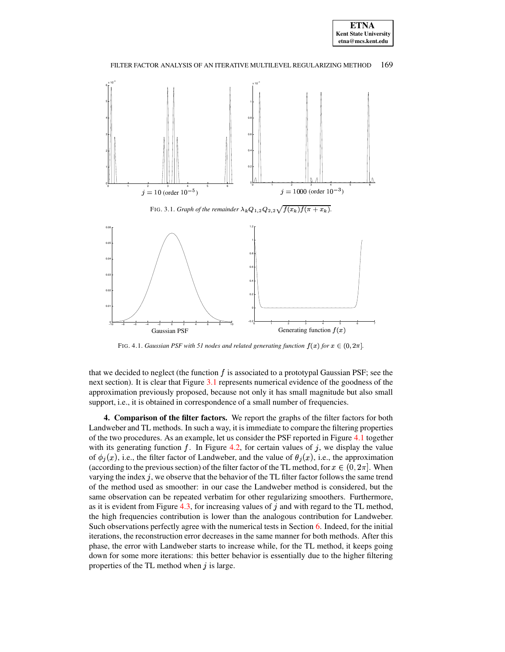

FIG. 3.1. *Graph of the remainder*  $\lambda_k Q_{1,2} Q_{2,2} \sqrt{f(x_k)f(\pi + x_k)}$ .

<span id="page-6-1"></span>

FIG. 4.1. *Gaussian PSF with* 51 *nodes and related generating function*  $f(x)$  *for*  $x \in (0, 2\pi]$ *.* 

<span id="page-6-2"></span>that we decided to neglect (the function  $f$  is associated to a prototypal Gaussian PSF; see the next section). It is clear that Figure [3.1](#page-6-1) represents numerical evidence of the goodness of the approximation previously proposed, because not only it has small magnitude but also small support, i.e., it is obtained in correspondence of a small number of frequencies.

<span id="page-6-0"></span>**4. Comparison of the filter factors.** We report the graphs of the filter factors for both Landweber and TL methods. In such a way, it is immediate to compare the filtering properties of the two procedures. As an example, let us consider the PSF reported in Figure [4.1](#page-6-2) together with its generating function f. In Figure [4.2,](#page-7-1) for certain values of j, we display the value of  $\phi_j(x)$ , i.e., the filter factor of Landweber, and the value of  $\theta_j(x)$ , i.e., the approximation (according to the previous section) of the filter factor of the TL method, for  $x \in (0, 2\pi]$ . When varying the index  $j$ , we observe that the behavior of the TL filter factor follows the same trend of the method used as smoother: in our case the Landweber method is considered, but the same observation can be repeated verbatim for other regularizing smoothers. Furthermore, as it is evident from Figure [4.3,](#page-8-0) for increasing values of  $j$  and with regard to the TL method, the high frequencies contribution is lower than the analogous contribution for Landweber. Such observations perfectly agree with the numerical tests in Section [6.](#page-9-0) Indeed, for the initial iterations, the reconstruction error decreases in the same manner for both methods. After this phase, the error with Landweber starts to increase while, for the TL method, it keeps going down for some more iterations: this better behavior is essentially due to the higher filtering properties of the TL method when  $j$  is large.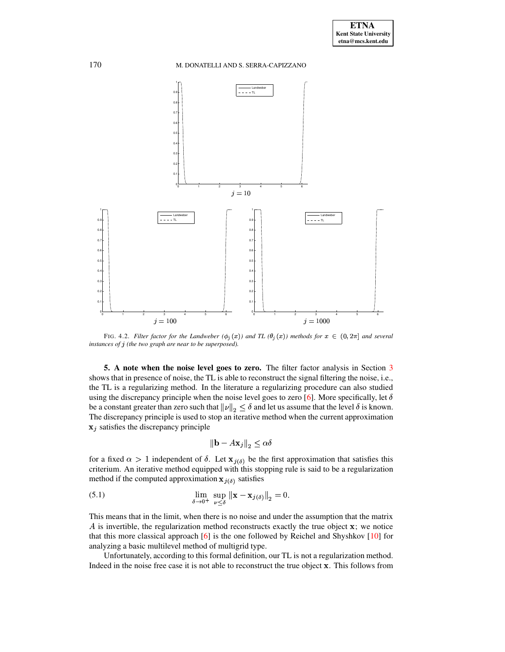

<span id="page-7-1"></span>FIG. 4.2. Filter factor for the Landweber  $(\phi_i(x))$  and TL  $(\theta_i(x))$  methods for  $x \in (0, 2\pi]$  and several *instances of* <sup>ý</sup> *(the two graph are near to be superposed).*

<span id="page-7-0"></span>**5. A note when the noise level goes to zero.** The filter factor analysis in Section [3](#page-2-0) shows that in presence of noise, the TL is able to reconstruct the signal filtering the noise, i.e., the TL is a regularizing method. In the literature a regularizing procedure can also studied using the discrepancy principle when the noise level goes to zero [\[6\]](#page-13-4). More specifically, let  $\delta$ be a constant greater than zero such that  $\|\nu\|_2 \le \delta$  and let us assume that the level  $\delta$  is known. The discrepancy principle is used to stop an iterative method when the current approximation  $x_j$  satisfies the discrepancy principle

<span id="page-7-2"></span>
$$
\|\mathbf{b} - A\mathbf{x}_j\|_{2} \le \alpha \delta
$$

for a fixed  $\alpha > 1$  independent of  $\delta$ . Let  $\mathbf{x}_{i(\delta)}$  be the first approximation that satisfies this criterium. An iterative method equipped with this stopping rule is said to be a regularization method if the computed approximation  $x_{i(\delta)}$  satisfies

(5.1) 
$$
\lim_{\delta \to 0^+} \sup_{\nu < \delta} ||\mathbf{x} - \mathbf{x}_{j(\delta)}||_2 = 0.
$$

This means that in the limit, when there is no noise and under the assumption that the matrix  $\vec{A}$  is invertible, the regularization method reconstructs exactly the true object  $\bf{x}$ ; we notice that this more classical approach [\[6\]](#page-13-4) is the one followed by Reichel and Shyshkov  $[10]$  for analyzing a basic multilevel method of multigrid type.

Unfortunately, according to this formal definition, our TL is not a regularization method. Indeed in the noise free case it is not able to reconstruct the true object . This follows from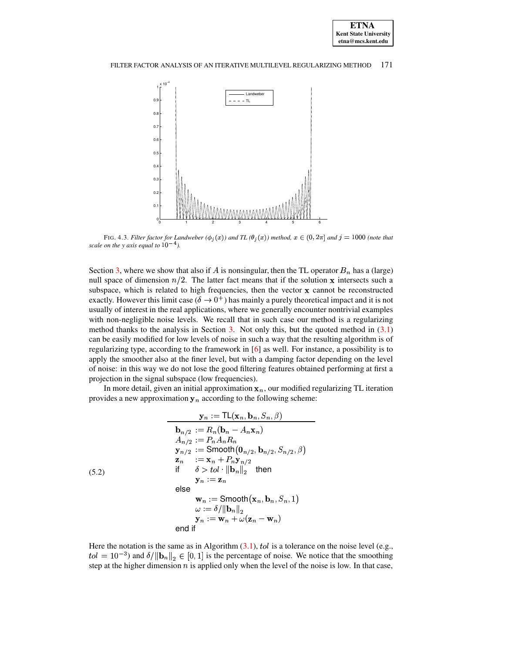

<span id="page-8-0"></span>FIG. 4.3. Filter factor for Landweber  $(\phi_i(x))$  and TL  $(\theta_i(x))$  method,  $x \in (0, 2\pi]$  and  $j = 1000$  (note that *scale on the y axis equal to*  $10^{-4}$ *).* 

Section [3,](#page-2-0) where we show that also if A is nonsingular, then the TL operator  $B_n$  has a (large) null space of dimension  $n/2$ . The latter fact means that if the solution x intersects such a subspace, which is related to high frequencies, then the vector  $x$  cannot be reconstructed exactly. However this limit case  $(\delta \to 0^+)$  has mainly a purely theoretical impact and it is not usually of interest in the real applications, where we generally encounter nontrivial examples with non-negligible noise levels. We recall that in such case our method is a regularizing method thanks to the analysis in Section [3.](#page-2-0) Not only this, but the quoted method in [\(3.1\)](#page-3-4) can be easily modified for low levels of noise in such a way that the resulting algorithm is of regularizing type, according to the framework in [\[6\]](#page-13-4) as well. For instance, a possibility is to apply the smoother also at the finer level, but with a damping factor depending on the level of noise: in this way we do not lose the good filtering features obtained performing at first a projection in the signal subspace (low frequencies).

In more detail, given an initial approximation  $x_n$ , our modified regularizing TL iteration provides a new approximation  $y_n$  according to the following scheme:

<span id="page-8-1"></span>ra Roman Roman Roman Roman Roman Roman Roman Roman Roman Roman Roman Roman Roman Roman Roman Roman Roman Roman Roman Roman Roman Roman Roman Roman Roman Roman Roman Roman Roman Roman Roman Roman Roman Roman Roman Roman Rom

,

$$
y_n := TL(\mathbf{x}_n, \mathbf{b}_n, S_n, \beta)
$$
\n
$$
\mathbf{b}_{n/2} := R_n(\mathbf{b}_n - A_n \mathbf{x}_n)
$$
\n
$$
A_{n/2} := P_n A_n R_n
$$
\n
$$
y_{n/2} := \text{Smooth}(\mathbf{0}_{n/2}, \mathbf{b}_{n/2}, S_{n/2}, \beta)
$$
\n
$$
\mathbf{z}_n := \mathbf{x}_n + P_n \mathbf{y}_{n/2}
$$
\nif  $\delta > tol \cdot \|\mathbf{b}_n\|_2$  then

\n
$$
\mathbf{y}_n := \mathbf{z}_n
$$
\nelse

\n
$$
\mathbf{w}_n := \text{Smooth}(\mathbf{x}_n, \mathbf{b}_n, S_n, 1)
$$
\n
$$
\omega := \delta / \|\mathbf{b}_n\|_2
$$
\n
$$
\mathbf{y}_n := \mathbf{w}_n + \omega(\mathbf{z}_n - \mathbf{w}_n)
$$
\nend if

Here the notation is the same as in Algorithm  $(3.1)$ , tol is a tolerance on the noise level (e.g.,  $\text{col} = 10^{-3}$  and  $\delta/||\mathbf{b}_n||_2 \in [0, 1]$  is the percentage of noise. We notice that the smoothing step at the higher dimension  $n$  is applied only when the level of the noise is low. In that case,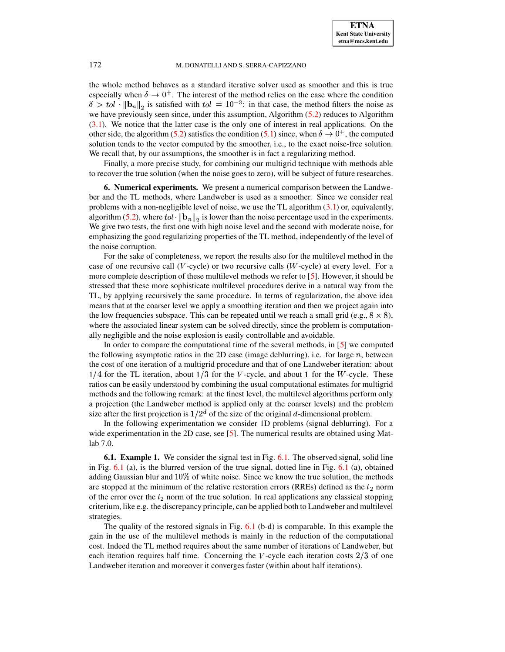the whole method behaves as a standard iterative solver used as smoother and this is true especially when  $\delta \to 0^+$ . The interest of the method relies on the case where the condition  $\delta > tol \cdot ||\mathbf{b}_n||_2$  is satisfied with  $tol = 10^{-3}$ : in that case, the method filters the noise as we have previously seen since, under this assumption, Algorithm [\(5.2\)](#page-8-1) reduces to Algorithm [\(3.1\)](#page-3-4). We notice that the latter case is the only one of interest in real applications. On the other side, the algorithm [\(5.2\)](#page-8-1) satisfies the condition [\(5.1\)](#page-7-2) since, when  $\delta \to 0^+$ , the computed solution tends to the vector computed by the smoother, i.e., to the exact noise-free solution. We recall that, by our assumptions, the smoother is in fact a regularizing method.

Finally, a more precise study, for combining our multigrid technique with methods able to recover the true solution (when the noise goes to zero), will be subject of future researches.

<span id="page-9-0"></span>**6. Numerical experiments.** We present a numerical comparison between the Landweber and the TL methods, where Landweber is used as a smoother. Since we consider real problems with a non-negligible level of noise, we use the TL algorithm  $(3.1)$  or, equivalently, algorithm [\(5.2\)](#page-8-1), where tol  $\|\mathbf{b}_n\|_2$  is lower than the noise percentage used in the experiments. We give two tests, the first one with high noise level and the second with moderate noise, for emphasizing the good regularizing properties of the TL method, independently of the level of the noise corruption.

For the sake of completeness, we report the results also for the multilevel method in the case of one recursive call  $(V$ -cycle) or two recursive calls  $(W$ -cycle) at every level. For a more complete description of these multilevel methods we refer to [\[5\]](#page-13-7). However, it should be stressed that these more sophisticate multilevel procedures derive in a natural way from the TL, by applying recursively the same procedure. In terms of regularization, the above idea means that at the coarser level we apply a smoothing iteration and then we project again into the low frequencies subspace. This can be repeated until we reach a small grid (e.g.,  $8 \times 8$ ), where the associated linear system can be solved directly, since the problem is computationally negligible and the noise explosion is easily controllable and avoidable.

In order to compare the computational time of the several methods, in [\[5\]](#page-13-7) we computed the following asymptotic ratios in the 2D case (image deblurring), i.e. for large  $n$ , between the cost of one iteration of a multigrid procedure and that of one Landweber iteration: about  $1/4$  for the TL iteration, about  $1/3$  for the V-cycle, and about 1 for the W-cycle. These ratios can be easily understood by combining the usual computational estimates for multigrid methods and the following remark: at the finest level, the multilevel algorithms perform only a projection (the Landweber method is applied only at the coarser levels) and the problem size after the first projection is  $1/2<sup>d</sup>$  of the size of the original d-dimensional problem.

In the following experimentation we consider 1D problems (signal deblurring). For a wide experimentation in the 2D case, see [\[5\]](#page-13-7). The numerical results are obtained using Matlab 7.0.

**6.1. Example 1.** We consider the signal test in Fig. [6.1.](#page-10-0) The observed signal, solid line in Fig.  $6.1$  (a), is the blurred version of the true signal, dotted line in Fig.  $6.1$  (a), obtained adding Gaussian blur and  $10\%$  of white noise. Since we know the true solution, the methods are stopped at the minimum of the relative restoration errors (RREs) defined as the  $l_2$  norm of the error over the  $l_2$  norm of the true solution. In real applications any classical stopping criterium, like e.g. the discrepancy principle, can be applied both to Landweber and multilevel strategies.

The quality of the restored signals in Fig. [6.1](#page-10-0) (b-d) is comparable. In this example the gain in the use of the multilevel methods is mainly in the reduction of the computational cost. Indeed the TL method requires about the same number of iterations of Landweber, but each iteration requires half time. Concerning the  $V$ -cycle each iteration costs  $2/3$  of one Landweber iteration and moreover it converges faster (within about half iterations).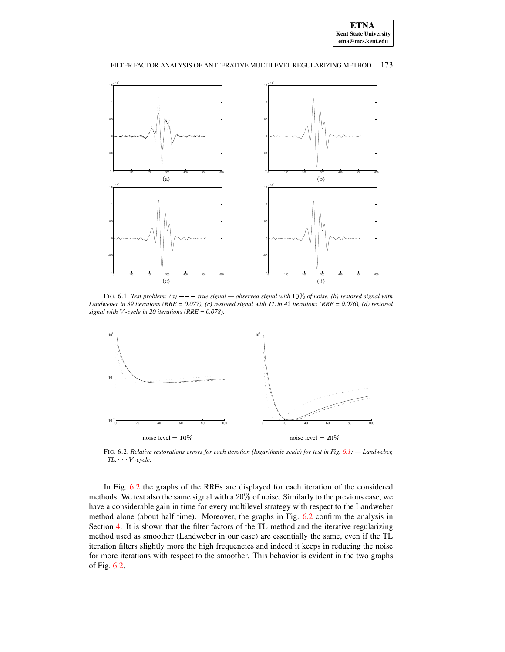

#### FILTER FACTOR ANALYSIS OF AN ITERATIVE MULTILEVEL REGULARIZING METHOD 173



<span id="page-10-0"></span>FIG. 6.1. *Test problem:* (a)  $-- -$  *true signal*  $-$  *observed signal* with 10% *of noise*, (b) *restored signal with* Landweber in 39 iterations (RRE =  $0.077$ ), (c) restored signal with TL in 42 iterations (RRE =  $0.076$ ), (d) restored *signal* with *V*-cycle in 20 *iterations* (*RRE* = 0.078).



<span id="page-10-1"></span>FIG. 6.2. *Relative restorations errors for each iteration (logarithmic scale) for test in Fig. [6.1:](#page-10-0) — Landweber,*  $-TL$ , *V-cycle*.

In Fig. [6.2](#page-10-1) the graphs of the RREs are displayed for each iteration of the considered methods. We test also the same signal with a  $20\%$  of noise. Similarly to the previous case, we have a considerable gain in time for every multilevel strategy with respect to the Landweber method alone (about half time). Moreover, the graphs in Fig. [6.2](#page-10-1) confirm the analysis in Section [4.](#page-6-0) It is shown that the filter factors of the TL method and the iterative regularizing method used as smoother (Landweber in our case) are essentially the same, even if the TL iteration filters slightly more the high frequencies and indeed it keeps in reducing the noise for more iterations with respect to the smoother. This behavior is evident in the two graphs of Fig. [6.2.](#page-10-1)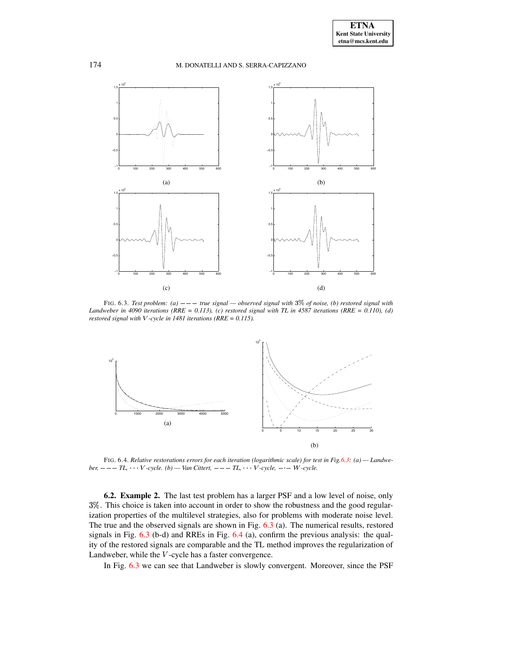

<span id="page-11-0"></span>FIG. 6.3. *Test problem:* (a)  $---$  *true signal*  $-$  *observed signal with*  $3\%$  *of noise,* (b) *restored signal with* Landweber in 4090 iterations (RRE = 0.113), (c) restored signal with TL in 4587 iterations (RRE = 0.110), (d) *restored signal with*  $V$ -cycle *in* 1481 *iterations* ( $RRE = 0.115$ ).



<span id="page-11-1"></span>FIG. 6.4. Relative restorations errors for each iteration (logarithmic scale) for test in Fig. 6.3: (a) - Landwe $ber, --- TL, \tV-cycle.$  *(b)* — *Van Cittert,*  $--- TL, \tV-cycle, --- W-cycle.$ 

**6.2. Example 2.** The last test problem has a larger PSF and a low level of noise, only 3%. This choice is taken into account in order to show the robustness and the good regularization properties of the multilevel strategies, also for problems with moderate noise level. The true and the observed signals are shown in Fig. [6.3](#page-11-0) (a). The numerical results, restored signals in Fig. [6.3](#page-11-0) (b-d) and RREs in Fig. [6.4](#page-11-1) (a), confirm the previous analysis: the quality of the restored signals are comparable and the TL method improves the regularization of Landweber, while the  $V$ -cycle has a faster convergence.

In Fig. [6.3](#page-11-0) we can see that Landweber is slowly convergent. Moreover, since the PSF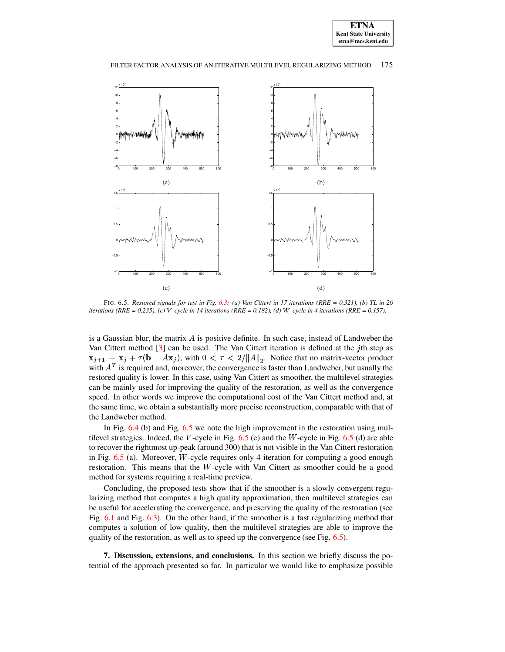



#### FILTER FACTOR ANALYSIS OF AN ITERATIVE MULTILEVEL REGULARIZING METHOD 175

<span id="page-12-1"></span>FIG. 6.5. Restored signals for test in Fig. [6.3:](#page-11-0) (a) Van Cittert in 17 iterations (RRE = 0.321), (b) TL in 26 iterations (RRE = 0.235), (c) V-cycle in 14 iterations (RRE = 0.182), (d) W-cycle in 4 iterations (RRE = 0.157).

is a Gaussian blur, the matrix  $A$  is positive definite. In such case, instead of Landweber the Van Cittert method  $[3]$  can be used. The Van Cittert iteration is defined at the *j*th step as  $\mathbf{x}_{i+1} = \mathbf{x}_i + \tau(\mathbf{b} - A\mathbf{x}_i)$ , with  $0 < \tau < 2/||A||_2$ . Notice that no matrix-vector product with  $A<sup>T</sup>$  is required and, moreover, the convergence is faster than Landweber, but usually the restored quality is lower. In this case, using Van Cittert as smoother, the multilevel strategies can be mainly used for improving the quality of the restoration, as well as the convergence speed. In other words we improve the computational cost of the Van Cittert method and, at the same time, we obtain a substantially more precise reconstruction, comparable with that of the Landweber method.

In Fig.  $6.4$  (b) and Fig. [6.5](#page-12-1) we note the high improvement in the restoration using multilevel strategies. Indeed, the V-cycle in Fig.  $6.5$  (c) and the W-cycle in Fig.  $6.5$  (d) are able to recover the rightmost up-peak (around 300) that is not visible in the Van Cittert restoration in Fig.  $6.5$  (a). Moreover, *W*-cycle requires only 4 iteration for computing a good enough restoration. This means that the  $W$ -cycle with Van Cittert as smoother could be a good method for systems requiring a real-time preview.

Concluding, the proposed tests show that if the smoother is a slowly convergent regularizing method that computes a high quality approximation, then multilevel strategies can be useful for accelerating the convergence, and preserving the quality of the restoration (see Fig. [6.1](#page-10-0) and Fig. [6.3\)](#page-11-0). On the other hand, if the smoother is a fast regularizing method that computes a solution of low quality, then the multilevel strategies are able to improve the quality of the restoration, as well as to speed up the convergence (see Fig. [6.5\)](#page-12-1).

<span id="page-12-0"></span>**7. Discussion, extensions, and conclusions.** In this section we briefly discuss the potential of the approach presented so far. In particular we would like to emphasize possible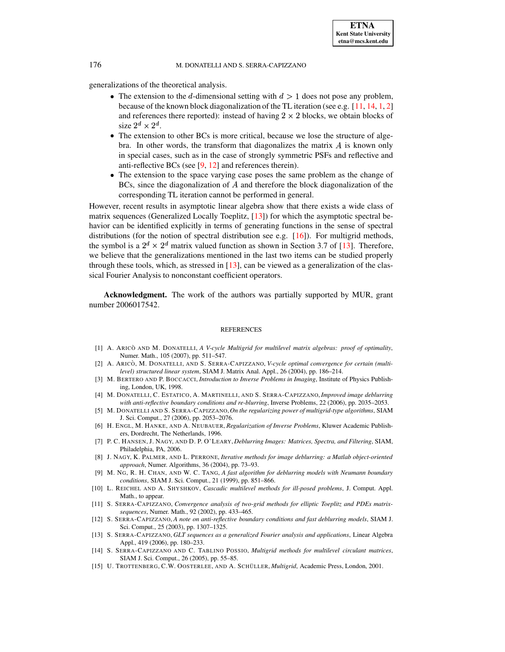generalizations of the theoretical analysis.

- The extension to the d-dimensional setting with  $d > 1$  does not pose any problem, because of the known block diagonalization of the TL iteration (see e.g. [\[11,](#page-13-13) [14,](#page-13-10) [1,](#page-13-11) [2\]](#page-13-12) and references there reported): instead of having  $2 \times 2$  blocks, we obtain blocks of size  $2^d \times 2^d$ .
- The extension to other BCs is more critical, because we lose the structure of algebra. In other words, the transform that diagonalizes the matrix  $A$  is known only in special cases, such as in the case of strongly symmetric PSFs and reflective and anti-reflective BCs (see [\[9,](#page-13-0) [12\]](#page-13-1) and references therein).
- The extension to the space varying case poses the same problem as the change of BCs, since the diagonalization of  $A$  and therefore the block diagonalization of the corresponding TL iteration cannot be performed in general.

However, recent results in asymptotic linear algebra show that there exists a wide class of matrix sequences (Generalized Locally Toeplitz, [\[13\]](#page-13-14)) for which the asymptotic spectral behavior can be identified explicitly in terms of generating functions in the sense of spectral distributions (for the notion of spectral distribution see e.g. [\[16\]](#page-14-0)). For multigrid methods, the symbol is a  $2^d \times 2^d$  matrix valued function as shown in Section 3.7 of [\[13\]](#page-13-14). Therefore, we believe that the generalizations mentioned in the last two items can be studied properly through these tools, which, as stressed in  $[13]$ , can be viewed as a generalization of the classical Fourier Analysis to nonconstant coefficient operators.

**Acknowledgment.** The work of the authors was partially supported by MUR, grant number 2006017542.

#### **REFERENCES**

- <span id="page-13-11"></span>[1] A. ARICO` AND M. DONATELLI, *A V-cycle Multigrid for multilevel matrix algebras: proof of optimality*, Numer. Math., 105 (2007), pp. 511–547.
- <span id="page-13-12"></span>[2] A. ARICO` , M. DONATELLI, AND S. SERRA-CAPIZZANO, *V-cycle optimal convergence for certain (multilevel) structured linear system*, SIAM J. Matrix Anal. Appl., 26 (2004), pp. 186–214.
- <span id="page-13-6"></span><span id="page-13-3"></span>[3] M. BERTERO AND P. BOCCACCI, *Introduction to Inverse Problems in Imaging*, Institute of Physics Publishing, London, UK, 1998.
- [4] M. DONATELLI, C. ESTATICO, A. MARTINELLI, AND S. SERRA-CAPIZZANO,*Improved image deblurring with anti-reflective boundary conditions and re-blurring*, Inverse Problems, 22 (2006), pp. 2035–2053.
- <span id="page-13-7"></span>[5] M. DONATELLI AND S. SERRA-CAPIZZANO,*On the regularizing power of multigrid-type algorithms*, SIAM J. Sci. Comput., 27 (2006), pp. 2053–2076.
- <span id="page-13-4"></span>[6] H. ENGL, M. HANKE, AND A. NEUBAUER, *Regularization of Inverse Problems*, Kluwer Academic Publishers, Dordrecht, The Netherlands, 1996.
- <span id="page-13-2"></span>[7] P. C. HANSEN, J. NAGY, AND D. P. O'LEARY, *Deblurring Images: Matrices, Spectra, and Filtering*, SIAM, Philadelphia, PA, 2006.
- <span id="page-13-5"></span>[8] J. NAGY, K. PALMER, AND L. PERRONE, *Iterative methods for image deblurring: a Matlab object-oriented approach*, Numer. Algorithms, 36 (2004), pp. 73–93.
- <span id="page-13-0"></span>[9] M. NG, R. H. CHAN, AND W. C. TANG, *A fast algorithm for deblurring models with Neumann boundary conditions*, SIAM J. Sci. Comput., 21 (1999), pp. 851–866.
- <span id="page-13-8"></span>[10] L. REICHEL AND A. SHYSHKOV, *Cascadic multilevel methods for ill-posed problems*, J. Comput. Appl. Math., to appear.
- <span id="page-13-13"></span>[11] S. SERRA-CAPIZZANO, *Convergence analysis of two-grid methods for elliptic Toeplitz and PDEs matrixsequences*, Numer. Math., 92 (2002), pp. 433–465.
- <span id="page-13-1"></span>[12] S. SERRA-CAPIZZANO, *A note on anti-reflective boundary conditions and fast deblurring models*, SIAM J. Sci. Comput., 25 (2003), pp. 1307–1325.
- <span id="page-13-14"></span>[13] S. SERRA-CAPIZZANO, *GLT sequences as a generalized Fourier analysis and applications*, Linear Algebra Appl., 419 (2006), pp. 180–233.
- <span id="page-13-10"></span>[14] S. SERRA-CAPIZZANO AND C. TABLINO POSSIO, *Multigrid methods for multilevel circulant matrices*, SIAM J. Sci. Comput., 26 (2005), pp. 55–85.
- <span id="page-13-9"></span>[15] U. TROTTENBERG, C.W. OOSTERLEE, AND A. SCHÜLLER, *Multigrid*, Academic Press, London, 2001.